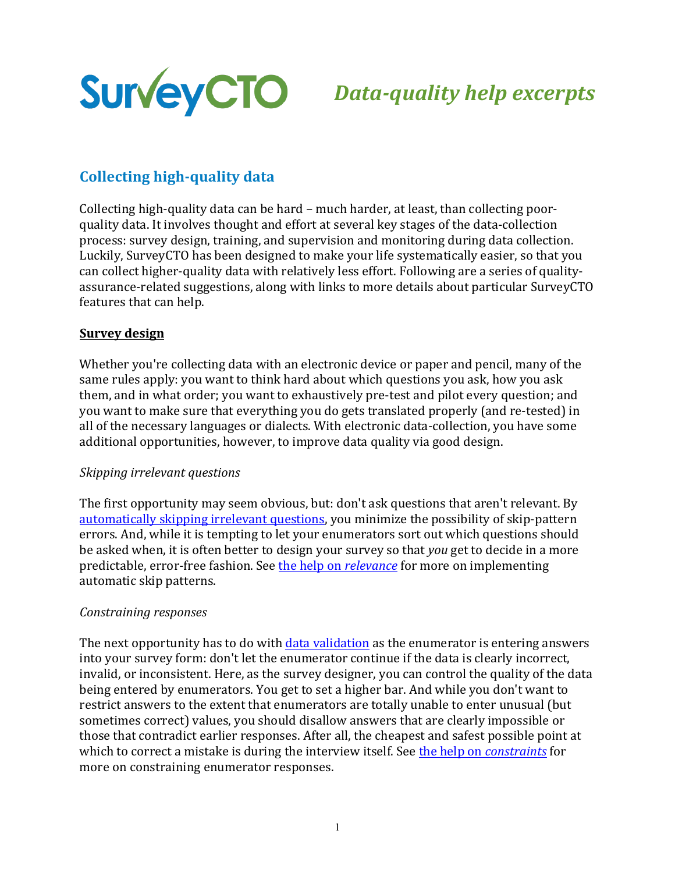

# *Data-quality help excerpts*

# **Collecting high-quality data**

Collecting high-quality data can be hard – much harder, at least, than collecting poorquality data. It involves thought and effort at several key stages of the data-collection process: survey design, training, and supervision and monitoring during data collection. Luckily, SurveyCTO has been designed to make your life systematically easier, so that you can collect higher-quality data with relatively less effort. Following are a series of qualityassurance-related suggestions, along with links to more details about particular SurveyCTO features that can help.

#### **Survey design**

Whether you're collecting data with an electronic device or paper and pencil, many of the same rules apply: you want to think hard about which questions you ask, how you ask them, and in what order; you want to exhaustively pre-test and pilot every question; and you want to make sure that everything you do gets translated properly (and re-tested) in all of the necessary languages or dialects. With electronic data-collection, you have some additional opportunities, however, to improve data quality via good design.

#### **Skipping** irrelevant questions

The first opportunity may seem obvious, but: don't ask questions that aren't relevant. By automatically skipping irrelevant questions, you minimize the possibility of skip-pattern errors. And, while it is tempting to let your enumerators sort out which questions should be asked when, it is often better to design your survey so that *you* get to decide in a more predictable, error-free fashion. See the help on *relevance* for more on implementing automatic skip patterns.

#### *Constraining responses*

The next opportunity has to do with data validation as the enumerator is entering answers into your survey form: don't let the enumerator continue if the data is clearly incorrect, invalid, or inconsistent. Here, as the survey designer, you can control the quality of the data being entered by enumerators. You get to set a higher bar. And while you don't want to restrict answers to the extent that enumerators are totally unable to enter unusual (but sometimes correct) values, you should disallow answers that are clearly impossible or those that contradict earlier responses. After all, the cheapest and safest possible point at which to correct a mistake is during the interview itself. See the help on *constraints* for more on constraining enumerator responses.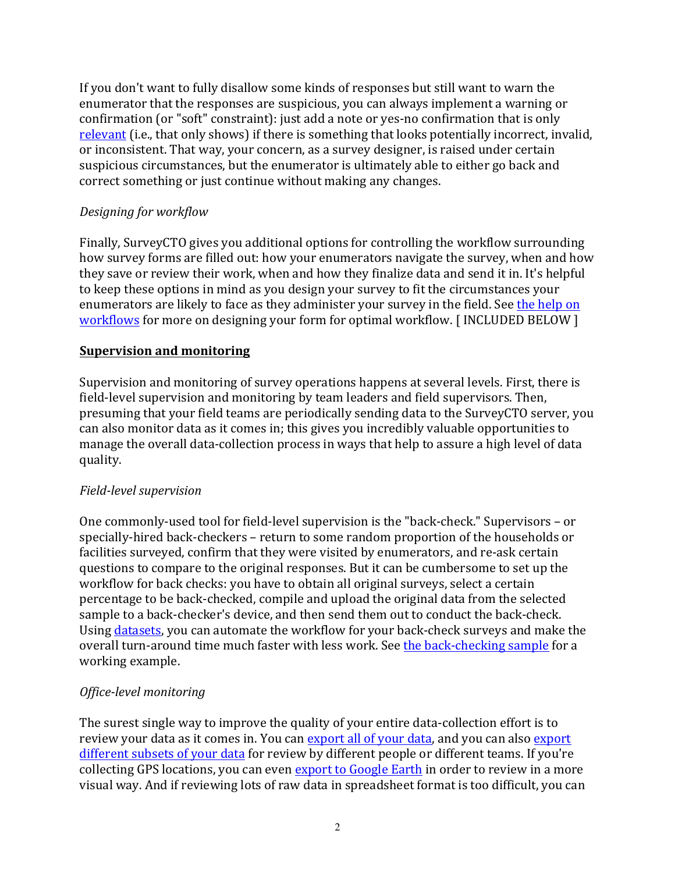If you don't want to fully disallow some kinds of responses but still want to warn the enumerator that the responses are suspicious, you can always implement a warning or confirmation (or "soft" constraint): just add a note or yes-no confirmation that is only relevant (i.e., that only shows) if there is something that looks potentially incorrect, invalid, or inconsistent. That way, your concern, as a survey designer, is raised under certain suspicious circumstances, but the enumerator is ultimately able to either go back and correct something or just continue without making any changes.

### *Designing for workflow*

Finally, SurveyCTO gives you additional options for controlling the workflow surrounding how survey forms are filled out: how your enumerators navigate the survey, when and how they save or review their work, when and how they finalize data and send it in. It's helpful to keep these options in mind as you design your survey to fit the circumstances your enumerators are likely to face as they administer your survey in the field. See the help on workflows for more on designing your form for optimal workflow. [INCLUDED BELOW]

#### **Supervision and monitoring**

Supervision and monitoring of survey operations happens at several levels. First, there is field-level supervision and monitoring by team leaders and field supervisors. Then, presuming that your field teams are periodically sending data to the SurveyCTO server, you can also monitor data as it comes in; this gives you incredibly valuable opportunities to manage the overall data-collection process in ways that help to assure a high level of data quality. 

#### *Field-level supervision*

One commonly-used tool for field-level supervision is the "back-check." Supervisors - or specially-hired back-checkers – return to some random proportion of the households or facilities surveyed, confirm that they were visited by enumerators, and re-ask certain questions to compare to the original responses. But it can be cumbersome to set up the workflow for back checks: you have to obtain all original surveys, select a certain percentage to be back-checked, compile and upload the original data from the selected sample to a back-checker's device, and then send them out to conduct the back-check. Using datasets, you can automate the workflow for your back-check surveys and make the overall turn-around time much faster with less work. See the back-checking sample for a working example.

# *Office-level monitoring*

The surest single way to improve the quality of your entire data-collection effort is to review your data as it comes in. You can export all of your data, and you can also export different subsets of your data for review by different people or different teams. If you're collecting GPS locations, you can even export to Google Earth in order to review in a more visual way. And if reviewing lots of raw data in spreadsheet format is too difficult, you can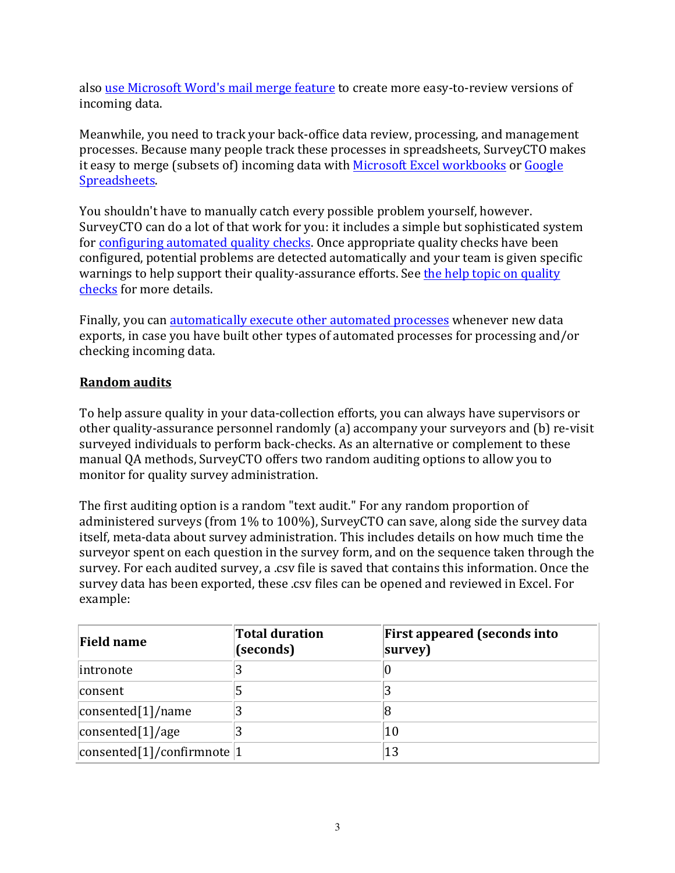also use Microsoft Word's mail merge feature to create more easy-to-review versions of incoming data. 

Meanwhile, you need to track your back-office data review, processing, and management processes. Because many people track these processes in spreadsheets, SurveyCTO makes it easy to merge (subsets of) incoming data with Microsoft Excel workbooks or Google Spreadsheets. 

You shouldn't have to manually catch every possible problem yourself, however. SurveyCTO can do a lot of that work for you: it includes a simple but sophisticated system for configuring automated quality checks. Once appropriate quality checks have been configured, potential problems are detected automatically and your team is given specific warnings to help support their quality-assurance efforts. See the help topic on quality checks for more details.

Finally, you can automatically execute other automated processes whenever new data exports, in case you have built other types of automated processes for processing and/or checking incoming data.

# **Random audits**

To help assure quality in your data-collection efforts, you can always have supervisors or other quality-assurance personnel randomly (a) accompany your surveyors and (b) re-visit surveyed individuals to perform back-checks. As an alternative or complement to these manual QA methods, SurveyCTO offers two random auditing options to allow you to monitor for quality survey administration.

The first auditing option is a random "text audit." For any random proportion of administered surveys (from  $1\%$  to  $100\%$ ), SurveyCTO can save, along side the survey data itself, meta-data about survey administration. This includes details on how much time the surveyor spent on each question in the survey form, and on the sequence taken through the survey. For each audited survey, a .csv file is saved that contains this information. Once the survey data has been exported, these .csv files can be opened and reviewed in Excel. For example: 

| <b>Field name</b>                                          | <b>Total duration</b><br>(seconds) | <b>First appeared (seconds into</b><br>survey) |
|------------------------------------------------------------|------------------------------------|------------------------------------------------|
| intronote                                                  |                                    | U                                              |
| consent                                                    |                                    |                                                |
| $\vert$ consented $\vert$ 1 $\vert$ /name                  |                                    | 8                                              |
| $\vert$ consented $\vert$ 1 $\vert$ /age                   |                                    | 10                                             |
| $\vert$ consented $\vert$ 1 $\vert$ /confirmnote $\vert$ 1 |                                    | 13                                             |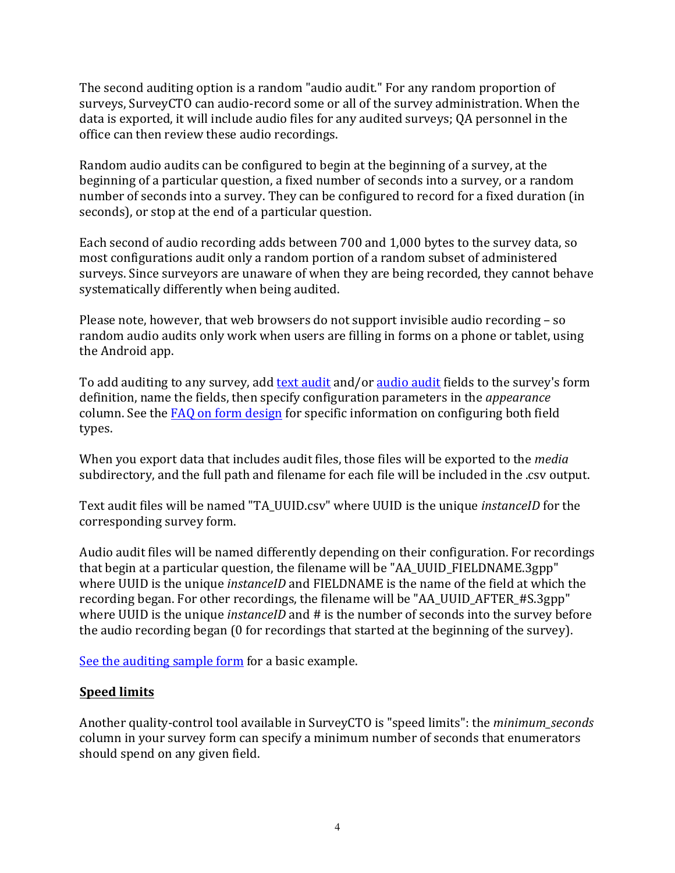The second auditing option is a random "audio audit." For any random proportion of surveys, SurveyCTO can audio-record some or all of the survey administration. When the data is exported, it will include audio files for any audited surveys; QA personnel in the office can then review these audio recordings.

Random audio audits can be configured to begin at the beginning of a survey, at the beginning of a particular question, a fixed number of seconds into a survey, or a random number of seconds into a survey. They can be configured to record for a fixed duration (in seconds), or stop at the end of a particular question.

Each second of audio recording adds between 700 and 1,000 bytes to the survey data, so most configurations audit only a random portion of a random subset of administered surveys. Since surveyors are unaware of when they are being recorded, they cannot behave systematically differently when being audited.

Please note, however, that web browsers do not support invisible audio recording  $-$  so random audio audits only work when users are filling in forms on a phone or tablet, using the Android app.

To add auditing to any survey, add text audit and/or audio audit fields to the survey's form definition, name the fields, then specify configuration parameters in the *appearance* column. See the FAQ on form design for specific information on configuring both field types. 

When you export data that includes audit files, those files will be exported to the *media* subdirectory, and the full path and filename for each file will be included in the .csv output.

Text audit files will be named "TA\_UUID.csv" where UUID is the unique *instanceID* for the corresponding survey form.

Audio audit files will be named differently depending on their configuration. For recordings that begin at a particular question, the filename will be "AA\_UUID\_FIELDNAME.3gpp" where UUID is the unique *instanceID* and FIELDNAME is the name of the field at which the recording began. For other recordings, the filename will be "AA\_UUID\_AFTER\_#S.3gpp" where UUID is the unique *instanceID* and # is the number of seconds into the survey before the audio recording began (0 for recordings that started at the beginning of the survey).

See the auditing sample form for a basic example.

# **Speed limits**

Another quality-control tool available in SurveyCTO is "speed limits": the *minimum seconds* column in your survey form can specify a minimum number of seconds that enumerators should spend on any given field.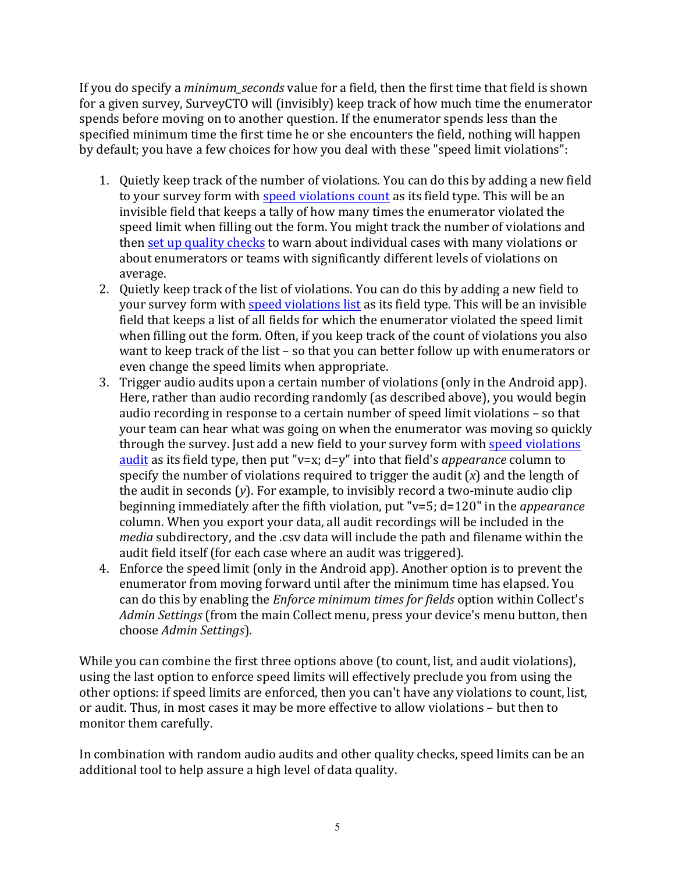If you do specify a *minimum* seconds value for a field, then the first time that field is shown for a given survey, SurveyCTO will (invisibly) keep track of how much time the enumerator spends before moving on to another question. If the enumerator spends less than the specified minimum time the first time he or she encounters the field, nothing will happen by default; you have a few choices for how you deal with these "speed limit violations":

- 1. Quietly keep track of the number of violations. You can do this by adding a new field to your survey form with speed violations count as its field type. This will be an invisible field that keeps a tally of how many times the enumerator violated the speed limit when filling out the form. You might track the number of violations and then set up quality checks to warn about individual cases with many violations or about enumerators or teams with significantly different levels of violations on average.
- 2. Quietly keep track of the list of violations. You can do this by adding a new field to your survey form with speed violations list as its field type. This will be an invisible field that keeps a list of all fields for which the enumerator violated the speed limit when filling out the form. Often, if you keep track of the count of violations you also want to keep track of the list  $-$  so that you can better follow up with enumerators or even change the speed limits when appropriate.
- 3. Trigger audio audits upon a certain number of violations (only in the Android app). Here, rather than audio recording randomly (as described above), you would begin audio recording in response to a certain number of speed limit violations  $-$  so that your team can hear what was going on when the enumerator was moving so quickly through the survey. Just add a new field to your survey form with speed violations audit as its field type, then put "v=x; d=y" into that field's *appearance* column to specify the number of violations required to trigger the audit  $(x)$  and the length of the audit in seconds  $(y)$ . For example, to invisibly record a two-minute audio clip beginning immediately after the fifth violation, put "v=5; d=120" in the *appearance* column. When you export your data, all audit recordings will be included in the *media* subdirectory, and the .csy data will include the path and filename within the audit field itself (for each case where an audit was triggered).
- 4. Enforce the speed limit (only in the Android app). Another option is to prevent the enumerator from moving forward until after the minimum time has elapsed. You can do this by enabling the *Enforce minimum times for fields* option within Collect's *Admin Settings* (from the main Collect menu, press your device's menu button, then choose *Admin Settings*).

While you can combine the first three options above (to count, list, and audit violations), using the last option to enforce speed limits will effectively preclude you from using the other options: if speed limits are enforced, then you can't have any violations to count, list, or audit. Thus, in most cases it may be more effective to allow violations - but then to monitor them carefully.

In combination with random audio audits and other quality checks, speed limits can be an additional tool to help assure a high level of data quality.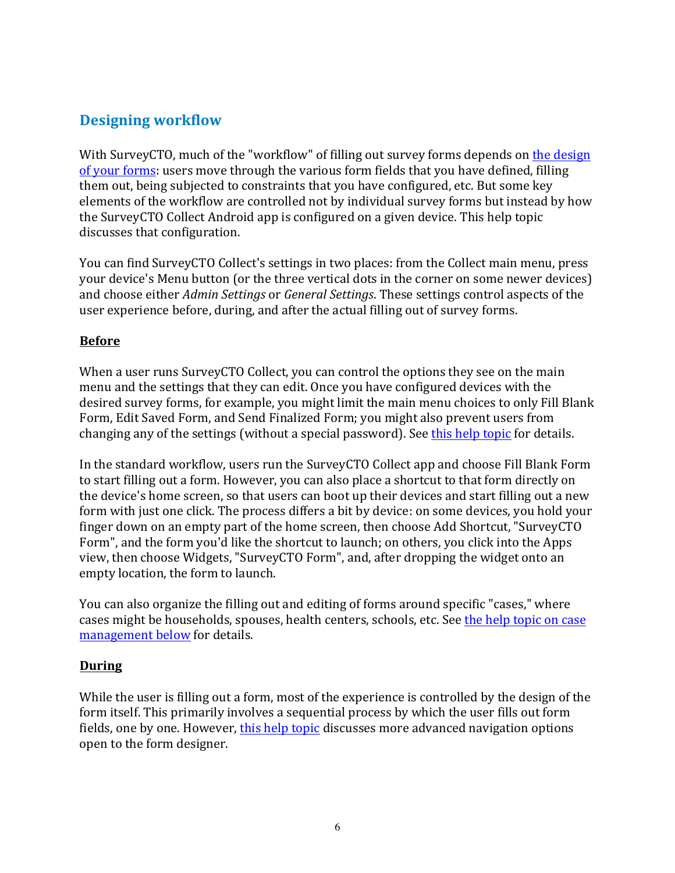# **Designing workflow**

With SurveyCTO, much of the "workflow" of filling out survey forms depends on the design of your forms: users move through the various form fields that you have defined, filling them out, being subjected to constraints that you have configured, etc. But some key elements of the workflow are controlled not by individual survey forms but instead by how the SurveyCTO Collect Android app is configured on a given device. This help topic discusses that configuration.

You can find SurveyCTO Collect's settings in two places: from the Collect main menu, press your device's Menu button (or the three vertical dots in the corner on some newer devices) and choose either *Admin Settings* or *General Settings*. These settings control aspects of the user experience before, during, and after the actual filling out of survey forms.

#### **Before**

When a user runs SurveyCTO Collect, you can control the options they see on the main menu and the settings that they can edit. Once you have configured devices with the desired survey forms, for example, you might limit the main menu choices to only Fill Blank Form, Edit Saved Form, and Send Finalized Form; you might also prevent users from changing any of the settings (without a special password). See this help topic for details.

In the standard workflow, users run the SurveyCTO Collect app and choose Fill Blank Form to start filling out a form. However, you can also place a shortcut to that form directly on the device's home screen, so that users can boot up their devices and start filling out a new form with just one click. The process differs a bit by device: on some devices, you hold your finger down on an empty part of the home screen, then choose Add Shortcut, "SurveyCTO Form", and the form you'd like the shortcut to launch; on others, you click into the Apps view, then choose Widgets, "SurveyCTO Form", and, after dropping the widget onto an empty location, the form to launch.

You can also organize the filling out and editing of forms around specific "cases," where cases might be households, spouses, health centers, schools, etc. See the help topic on case management below for details.

#### **During**

While the user is filling out a form, most of the experience is controlled by the design of the form itself. This primarily involves a sequential process by which the user fills out form fields, one by one. However, this help topic discusses more advanced navigation options open to the form designer.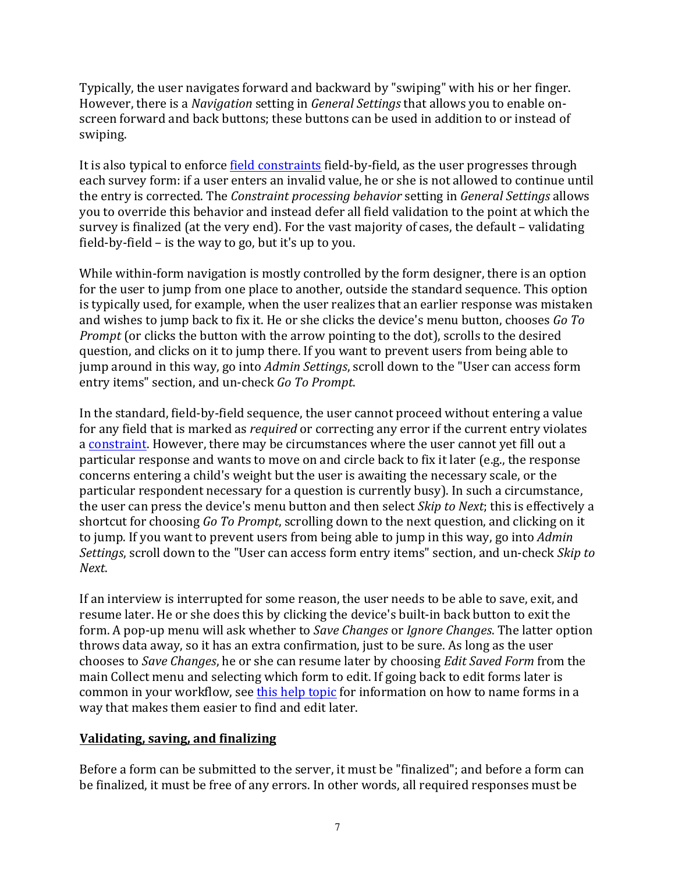Typically, the user navigates forward and backward by "swiping" with his or her finger. However, there is a *Navigation* setting in *General Settings* that allows you to enable onscreen forward and back buttons; these buttons can be used in addition to or instead of swiping. 

It is also typical to enforce field constraints field-by-field, as the user progresses through each survey form: if a user enters an invalid value, he or she is not allowed to continue until the entry is corrected. The *Constraint processing behavior* setting in *General Settings* allows you to override this behavior and instead defer all field validation to the point at which the survey is finalized (at the very end). For the vast majority of cases, the default – validating field-by-field  $-$  is the way to go, but it's up to you.

While within-form navigation is mostly controlled by the form designer, there is an option for the user to jump from one place to another, outside the standard sequence. This option is typically used, for example, when the user realizes that an earlier response was mistaken and wishes to jump back to fix it. He or she clicks the device's menu button, chooses *Go To Prompt* (or clicks the button with the arrow pointing to the dot), scrolls to the desired question, and clicks on it to jump there. If you want to prevent users from being able to jump around in this way, go into *Admin Settings*, scroll down to the "User can access form entry items" section, and un-check *Go To Prompt*.

In the standard, field-by-field sequence, the user cannot proceed without entering a value for any field that is marked as *required* or correcting any error if the current entry violates a constraint. However, there may be circumstances where the user cannot yet fill out a particular response and wants to move on and circle back to fix it later (e.g., the response concerns entering a child's weight but the user is awaiting the necessary scale, or the particular respondent necessary for a question is currently busy). In such a circumstance, the user can press the device's menu button and then select *Skip to Next*; this is effectively a shortcut for choosing *Go To Prompt*, scrolling down to the next question, and clicking on it to jump. If you want to prevent users from being able to jump in this way, go into *Admin Settings*, scroll down to the "User can access form entry items" section, and un-check *Skip to Next*. 

If an interview is interrupted for some reason, the user needs to be able to save, exit, and resume later. He or she does this by clicking the device's built-in back button to exit the form. A pop-up menu will ask whether to *Save Changes* or *Ignore Changes*. The latter option throws data away, so it has an extra confirmation, just to be sure. As long as the user chooses to *Save Changes*, he or she can resume later by choosing *Edit Saved Form* from the main Collect menu and selecting which form to edit. If going back to edit forms later is common in your workflow, see this help topic for information on how to name forms in a way that makes them easier to find and edit later.

# **Validating, saving, and finalizing**

Before a form can be submitted to the server, it must be "finalized"; and before a form can be finalized, it must be free of any errors. In other words, all required responses must be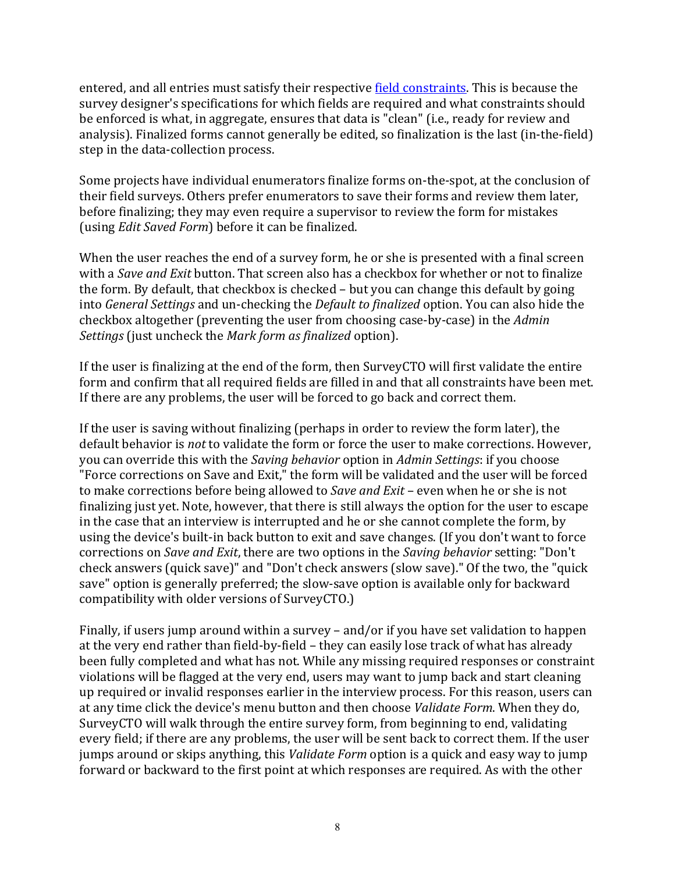entered, and all entries must satisfy their respective field constraints. This is because the survey designer's specifications for which fields are required and what constraints should be enforced is what, in aggregate, ensures that data is "clean" (i.e., ready for review and analysis). Finalized forms cannot generally be edited, so finalization is the last (in-the-field) step in the data-collection process.

Some projects have individual enumerators finalize forms on-the-spot, at the conclusion of their field surveys. Others prefer enumerators to save their forms and review them later, before finalizing; they may even require a supervisor to review the form for mistakes (using *Edit Saved Form*) before it can be finalized.

When the user reaches the end of a survey form, he or she is presented with a final screen with a *Save and Exit* button. That screen also has a checkbox for whether or not to finalize the form. By default, that checkbox is checked  $-$  but you can change this default by going into *General Settings* and un-checking the *Default to finalized* option. You can also hide the checkbox altogether (preventing the user from choosing case-by-case) in the *Admin Settings* (just uncheck the *Mark form as finalized* option).

If the user is finalizing at the end of the form, then  $\text{Surve}$  TO will first validate the entire form and confirm that all required fields are filled in and that all constraints have been met. If there are any problems, the user will be forced to go back and correct them.

If the user is saving without finalizing (perhaps in order to review the form later), the default behavior is *not* to validate the form or force the user to make corrections. However, you can override this with the *Saving behavior* option in *Admin Settings*: if you choose "Force corrections on Save and Exit," the form will be validated and the user will be forced to make corrections before being allowed to *Save and Exit* – even when he or she is not finalizing just yet. Note, however, that there is still always the option for the user to escape in the case that an interview is interrupted and he or she cannot complete the form, by using the device's built-in back button to exit and save changes. (If you don't want to force corrections on *Save and Exit*, there are two options in the *Saving behavior* setting: "Don't check answers (quick save)" and "Don't check answers (slow save)." Of the two, the "quick save" option is generally preferred; the slow-save option is available only for backward compatibility with older versions of SurveyCTO.)

Finally, if users jump around within a survey – and/or if you have set validation to happen at the very end rather than field-by-field – they can easily lose track of what has already been fully completed and what has not. While any missing required responses or constraint violations will be flagged at the very end, users may want to jump back and start cleaning up required or invalid responses earlier in the interview process. For this reason, users can at any time click the device's menu button and then choose *Validate Form*. When they do, SurveyCTO will walk through the entire survey form, from beginning to end, validating every field; if there are any problems, the user will be sent back to correct them. If the user jumps around or skips anything, this *Validate Form* option is a quick and easy way to jump forward or backward to the first point at which responses are required. As with the other